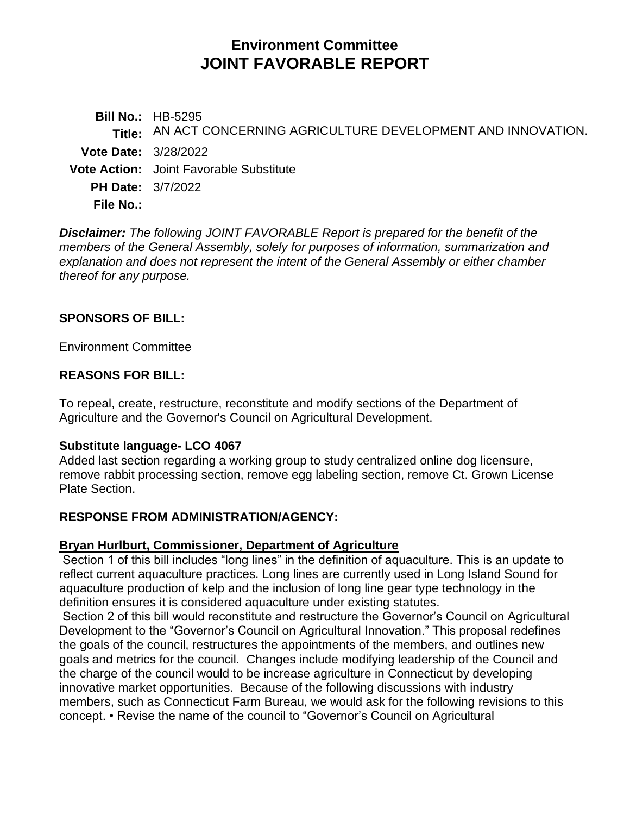# **Environment Committee JOINT FAVORABLE REPORT**

**Bill No.:** HB-5295 **Title:** AN ACT CONCERNING AGRICULTURE DEVELOPMENT AND INNOVATION. **Vote Date:** 3/28/2022 **Vote Action:** Joint Favorable Substitute **PH Date:** 3/7/2022 **File No.:**

*Disclaimer: The following JOINT FAVORABLE Report is prepared for the benefit of the members of the General Assembly, solely for purposes of information, summarization and explanation and does not represent the intent of the General Assembly or either chamber thereof for any purpose.*

# **SPONSORS OF BILL:**

Environment Committee

# **REASONS FOR BILL:**

To repeal, create, restructure, reconstitute and modify sections of the Department of Agriculture and the Governor's Council on Agricultural Development.

## **Substitute language- LCO 4067**

Added last section regarding a working group to study centralized online dog licensure, remove rabbit processing section, remove egg labeling section, remove Ct. Grown License Plate Section.

## **RESPONSE FROM ADMINISTRATION/AGENCY:**

## **Bryan Hurlburt, Commissioner, Department of Agriculture**

Section 1 of this bill includes "long lines" in the definition of aquaculture. This is an update to reflect current aquaculture practices. Long lines are currently used in Long Island Sound for aquaculture production of kelp and the inclusion of long line gear type technology in the definition ensures it is considered aquaculture under existing statutes.

Section 2 of this bill would reconstitute and restructure the Governor's Council on Agricultural Development to the "Governor's Council on Agricultural Innovation." This proposal redefines the goals of the council, restructures the appointments of the members, and outlines new goals and metrics for the council. Changes include modifying leadership of the Council and the charge of the council would to be increase agriculture in Connecticut by developing innovative market opportunities. Because of the following discussions with industry members, such as Connecticut Farm Bureau, we would ask for the following revisions to this concept. • Revise the name of the council to "Governor's Council on Agricultural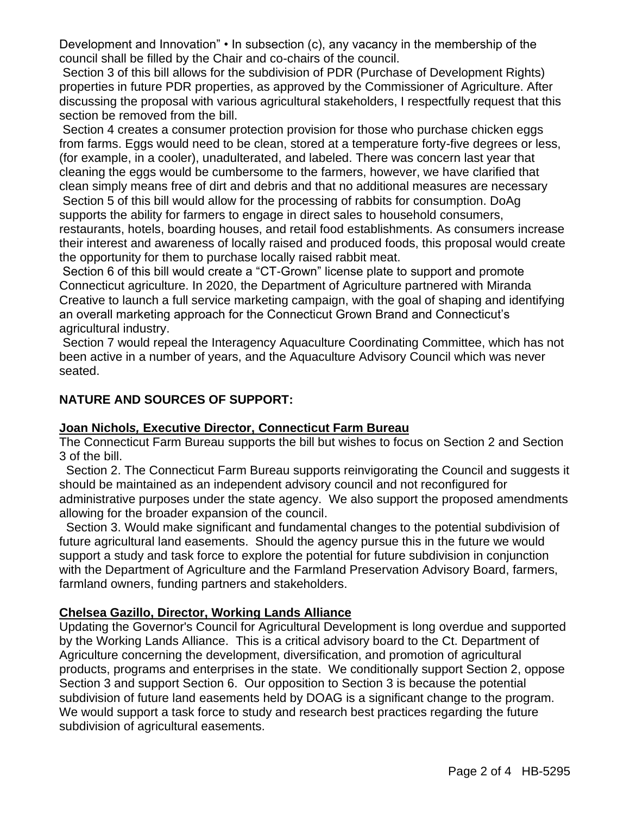Development and Innovation" • In subsection (c), any vacancy in the membership of the council shall be filled by the Chair and co-chairs of the council.

Section 3 of this bill allows for the subdivision of PDR (Purchase of Development Rights) properties in future PDR properties, as approved by the Commissioner of Agriculture. After discussing the proposal with various agricultural stakeholders, I respectfully request that this section be removed from the bill.

Section 4 creates a consumer protection provision for those who purchase chicken eggs from farms. Eggs would need to be clean, stored at a temperature forty-five degrees or less, (for example, in a cooler), unadulterated, and labeled. There was concern last year that cleaning the eggs would be cumbersome to the farmers, however, we have clarified that clean simply means free of dirt and debris and that no additional measures are necessary

Section 5 of this bill would allow for the processing of rabbits for consumption. DoAg supports the ability for farmers to engage in direct sales to household consumers, restaurants, hotels, boarding houses, and retail food establishments. As consumers increase their interest and awareness of locally raised and produced foods, this proposal would create the opportunity for them to purchase locally raised rabbit meat.

Section 6 of this bill would create a "CT-Grown" license plate to support and promote Connecticut agriculture. In 2020, the Department of Agriculture partnered with Miranda Creative to launch a full service marketing campaign, with the goal of shaping and identifying an overall marketing approach for the Connecticut Grown Brand and Connecticut's agricultural industry.

Section 7 would repeal the Interagency Aquaculture Coordinating Committee, which has not been active in a number of years, and the Aquaculture Advisory Council which was never seated.

# **NATURE AND SOURCES OF SUPPORT:**

# **Joan Nichol***s,* **Executive Director, Connecticut Farm Bureau**

The Connecticut Farm Bureau supports the bill but wishes to focus on Section 2 and Section 3 of the bill.

Section 2. The Connecticut Farm Bureau supports reinvigorating the Council and suggests it should be maintained as an independent advisory council and not reconfigured for administrative purposes under the state agency. We also support the proposed amendments allowing for the broader expansion of the council.

Section 3. Would make significant and fundamental changes to the potential subdivision of future agricultural land easements. Should the agency pursue this in the future we would support a study and task force to explore the potential for future subdivision in conjunction with the Department of Agriculture and the Farmland Preservation Advisory Board, farmers, farmland owners, funding partners and stakeholders.

## **Chelsea Gazillo, Director, Working Lands Alliance**

Updating the Governor's Council for Agricultural Development is long overdue and supported by the Working Lands Alliance. This is a critical advisory board to the Ct. Department of Agriculture concerning the development, diversification, and promotion of agricultural products, programs and enterprises in the state. We conditionally support Section 2, oppose Section 3 and support Section 6. Our opposition to Section 3 is because the potential subdivision of future land easements held by DOAG is a significant change to the program. We would support a task force to study and research best practices regarding the future subdivision of agricultural easements.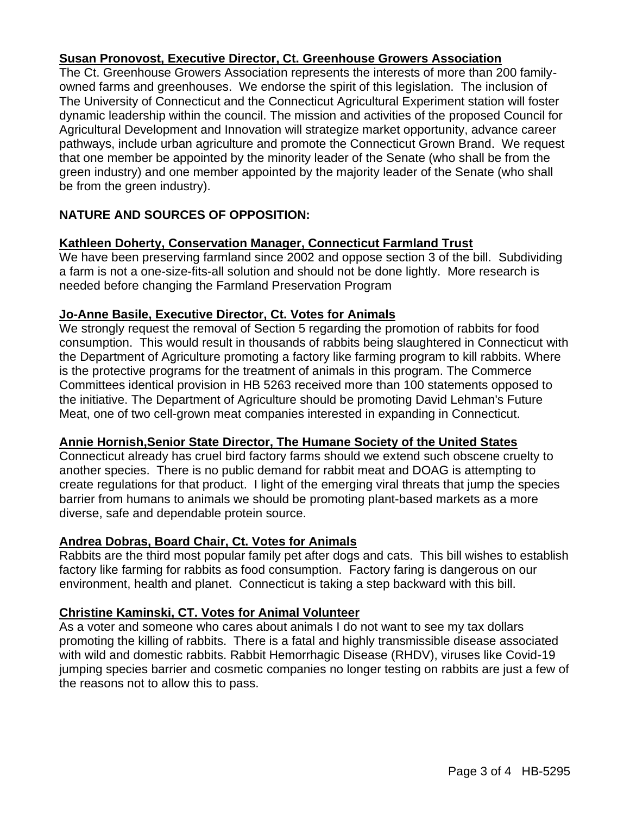# **Susan Pronovost, Executive Director, Ct. Greenhouse Growers Association**

The Ct. Greenhouse Growers Association represents the interests of more than 200 familyowned farms and greenhouses. We endorse the spirit of this legislation. The inclusion of The University of Connecticut and the Connecticut Agricultural Experiment station will foster dynamic leadership within the council. The mission and activities of the proposed Council for Agricultural Development and Innovation will strategize market opportunity, advance career pathways, include urban agriculture and promote the Connecticut Grown Brand. We request that one member be appointed by the minority leader of the Senate (who shall be from the green industry) and one member appointed by the majority leader of the Senate (who shall be from the green industry).

# **NATURE AND SOURCES OF OPPOSITION:**

# **Kathleen Doherty, Conservation Manager, Connecticut Farmland Trust**

We have been preserving farmland since 2002 and oppose section 3 of the bill. Subdividing a farm is not a one-size-fits-all solution and should not be done lightly. More research is needed before changing the Farmland Preservation Program

## **Jo-Anne Basile, Executive Director, Ct. Votes for Animals**

We strongly request the removal of Section 5 regarding the promotion of rabbits for food consumption. This would result in thousands of rabbits being slaughtered in Connecticut with the Department of Agriculture promoting a factory like farming program to kill rabbits. Where is the protective programs for the treatment of animals in this program. The Commerce Committees identical provision in HB 5263 received more than 100 statements opposed to the initiative. The Department of Agriculture should be promoting David Lehman's Future Meat, one of two cell-grown meat companies interested in expanding in Connecticut.

## **Annie Hornish,Senior State Director, The Humane Society of the United States**

Connecticut already has cruel bird factory farms should we extend such obscene cruelty to another species. There is no public demand for rabbit meat and DOAG is attempting to create regulations for that product. I light of the emerging viral threats that jump the species barrier from humans to animals we should be promoting plant-based markets as a more diverse, safe and dependable protein source.

# **Andrea Dobras, Board Chair, Ct. Votes for Animals**

Rabbits are the third most popular family pet after dogs and cats. This bill wishes to establish factory like farming for rabbits as food consumption. Factory faring is dangerous on our environment, health and planet. Connecticut is taking a step backward with this bill.

# **Christine Kaminski, CT. Votes for Animal Volunteer**

As a voter and someone who cares about animals I do not want to see my tax dollars promoting the killing of rabbits. There is a fatal and highly transmissible disease associated with wild and domestic rabbits. Rabbit Hemorrhagic Disease (RHDV), viruses like Covid-19 jumping species barrier and cosmetic companies no longer testing on rabbits are just a few of the reasons not to allow this to pass.